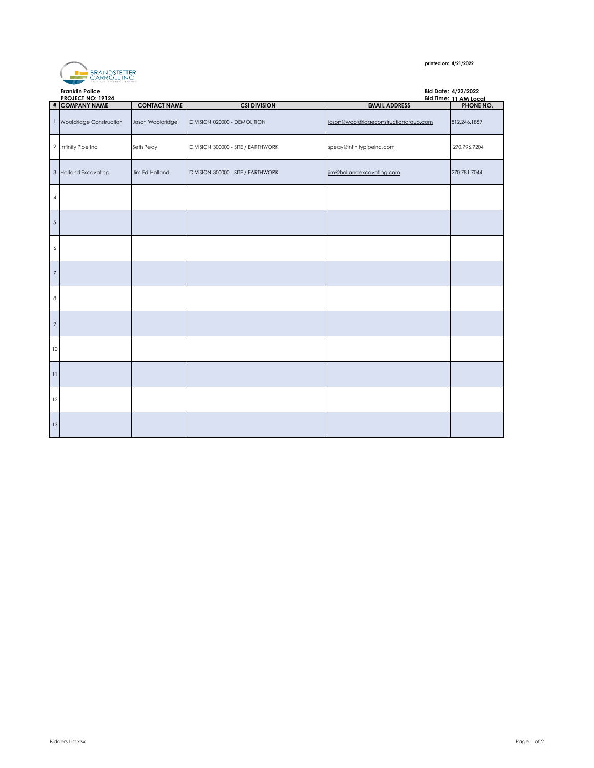

## **printed on: 4/21/2022**

|                | <b>Franklin Police</b><br><b>PROJECT NO: 19124</b> |                     |                                    | Bid Date: 4/22/2022<br>Bid Time: 11 AM Local |              |
|----------------|----------------------------------------------------|---------------------|------------------------------------|----------------------------------------------|--------------|
|                | # COMPANY NAME                                     | <b>CONTACT NAME</b> | <b>CSI DIVISION</b>                | <b>EMAIL ADDRESS</b>                         | PHONE NO.    |
| $\mathbf{1}$   | Wooldridge Construction                            | Jason Wooldridge    | DIVISION 020000 - DEMOLITION       | jason@wooldridgeconstructiongroup.com        | 812.246.1859 |
|                | 2 Infinity Pipe Inc                                | Seth Peay           | DIVISION 300000 - SITE / EARTHWORK | speay@infinitypipeinc.com                    | 270.796.7204 |
| $\mathbf{3}$   | <b>Holland Excavating</b>                          | Jim Ed Holland      | DIVISION 300000 - SITE / EARTHWORK | jim@hollandexcavating.com                    | 270.781.7044 |
| $\overline{4}$ |                                                    |                     |                                    |                                              |              |
| $\overline{5}$ |                                                    |                     |                                    |                                              |              |
| 6              |                                                    |                     |                                    |                                              |              |
| $\overline{7}$ |                                                    |                     |                                    |                                              |              |
| $\,$ 8         |                                                    |                     |                                    |                                              |              |
| 9              |                                                    |                     |                                    |                                              |              |
| 10             |                                                    |                     |                                    |                                              |              |
| 11             |                                                    |                     |                                    |                                              |              |
| 12             |                                                    |                     |                                    |                                              |              |
| 13             |                                                    |                     |                                    |                                              |              |